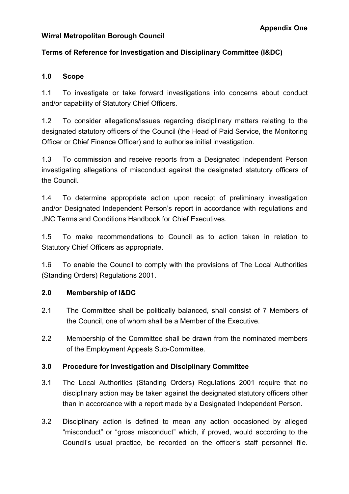### **Wirral Metropolitan Borough Council**

# **Terms of Reference for Investigation and Disciplinary Committee (I&DC)**

### **1.0 Scope**

1.1 To investigate or take forward investigations into concerns about conduct and/or capability of Statutory Chief Officers.

1.2 To consider allegations/issues regarding disciplinary matters relating to the designated statutory officers of the Council (the Head of Paid Service, the Monitoring Officer or Chief Finance Officer) and to authorise initial investigation.

1.3 To commission and receive reports from a Designated Independent Person investigating allegations of misconduct against the designated statutory officers of the Council.

1.4 To determine appropriate action upon receipt of preliminary investigation and/or Designated Independent Person's report in accordance with regulations and JNC Terms and Conditions Handbook for Chief Executives.

1.5 To make recommendations to Council as to action taken in relation to Statutory Chief Officers as appropriate.

1.6 To enable the Council to comply with the provisions of The Local Authorities (Standing Orders) Regulations 2001.

## **2.0 Membership of I&DC**

- 2.1 The Committee shall be politically balanced, shall consist of 7 Members of the Council, one of whom shall be a Member of the Executive.
- 2.2 Membership of the Committee shall be drawn from the nominated members of the Employment Appeals Sub-Committee.

## **3.0 Procedure for Investigation and Disciplinary Committee**

- 3.1 The Local Authorities (Standing Orders) Regulations 2001 require that no disciplinary action may be taken against the designated statutory officers other than in accordance with a report made by a Designated Independent Person.
- 3.2 Disciplinary action is defined to mean any action occasioned by alleged "misconduct" or "gross misconduct" which, if proved, would according to the Council's usual practice, be recorded on the officer's staff personnel file.